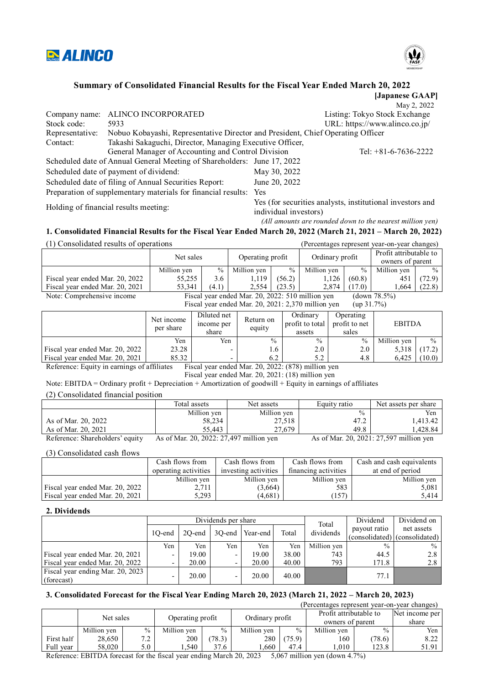



## **Summary of Consolidated Financial Results for the Fiscal Year Ended March 20, 2022**

|                 |                                                                                 |                       | [Japanese GAAP]                                           |
|-----------------|---------------------------------------------------------------------------------|-----------------------|-----------------------------------------------------------|
|                 |                                                                                 |                       | May 2, 2022                                               |
| Company name:   | ALINCO INCORPORATED                                                             |                       | Listing: Tokyo Stock Exchange                             |
| Stock code:     | 5933                                                                            |                       | URL: https://www.alinco.co.jp/                            |
| Representative: | Nobuo Kobayashi, Representative Director and President, Chief Operating Officer |                       |                                                           |
| Contact:        | Takashi Sakaguchi, Director, Managing Executive Officer,                        |                       |                                                           |
|                 | General Manager of Accounting and Control Division                              |                       | Tel: $+81-6-7636-2222$                                    |
|                 | Scheduled date of Annual General Meeting of Shareholders: June 17, 2022         |                       |                                                           |
|                 | Scheduled date of payment of dividend:                                          | May 30, 2022          |                                                           |
|                 | Scheduled date of filing of Annual Securities Report:                           | June 20, 2022         |                                                           |
|                 | Preparation of supplementary materials for financial results: Yes               |                       |                                                           |
|                 | Holding of financial results meeting:                                           | individual investors) | Yes (for securities analysts, institutional investors and |
|                 |                                                                                 |                       | (All amounts are rounded down to the nearest million ven) |

## **1. Consolidated Financial Results for the Fiscal Year Ended March 20, 2022 (March 21, 2021 – March 20, 2022)**

(1) Consolidated results of operations (Percentages represent year-on-year changes) Net sales Operating profit Ordinary profit Profit attributable to owners of parent Million yen  $\begin{array}{c|c|c|c|c|c|c|c|c} \hline \text{Million yen} & \begin{array}{c|c|c} \hline \text{Million yen} & \begin{array}{c|c} \hline \text{Willion yen} & \text{Million yen} \\ \hline \text{55,255} & \text{3.6} & \text{1,119} \end{array} & \begin{array}{c|c|c} \text{56.2} \end{array} & \begin{array}{c|c} \text{Million yen} & \begin{array}{c|c} \hline \text{Wolution}}{\hline \text{56.3}} & \text{Million yen} \\ \hline \end{array}$ Fiscal year ended Mar. 20, 2022  $\begin{vmatrix} 55,255 & 3.6 & 1,119 & 56.2 \end{vmatrix}$  (56.2) 1,126 (60.8) 451 Fiscal year ended Mar. 20, 2021 53,341 (4.1) 2,554 (23.5) 2,874 (17.0) 1,664 (22.8)<br>Note: Comprehensive income Fiscal year ended Mar. 20, 2022: 510 million yen (down 78.5%) Note: Comprehensive income Fiscal year ended Mar. 20, 2022: 510 million yen Fiscal year ended Mar. 20, 2021: 2,370 million yen (up 31.7%)

|                                 | Net income<br>per share | Diluted net<br>income per<br>share | Return on<br>equity | Ordinary<br>Operating<br>profit to total<br>profit to net<br>sales<br>assets |               | <b>EBITDA</b> |               |
|---------------------------------|-------------------------|------------------------------------|---------------------|------------------------------------------------------------------------------|---------------|---------------|---------------|
|                                 | Yen                     | Yen                                | $\frac{0}{0}$       | $\frac{0}{0}$                                                                | $\frac{0}{0}$ | Million yen   | $\frac{0}{0}$ |
| Fiscal year ended Mar. 20, 2022 | 23.28                   | -                                  | .6 <sub>1</sub>     | 2.0                                                                          | 2.0           | 5.318         | 17.2)         |
| Fiscal year ended Mar. 20, 2021 | 85.32                   | -                                  |                     | 5.2                                                                          | 4.8           | 6.425         | (10.0)        |

Reference: Equity in earnings of affiliates Fiscal year ended Mar. 20, 2022: (878) million yen

Fiscal year ended Mar. 20, 2021: (18) million yen

Note: EBITDA = Ordinary profit + Depreciation + Amortization of goodwill + Equity in earnings of affiliates

(2) Consolidated financial position

|                     | Total assets | Net assets  | Equity ratio | Net assets per share |
|---------------------|--------------|-------------|--------------|----------------------|
|                     | Million yen  | Million yen | $\%$         | Yen                  |
| As of Mar. 20, 2022 | 58,234       | 27.518      | 47.2         | .413.42              |
| As of Mar. 20, 2021 | 55.443       | 27,679      | 49.8         | .428.84              |

Reference: Shareholders' equity As of Mar. 20, 2022: 27,497 million yen As of Mar. 20, 2021: 27,597 million yen

(3) Consolidated cash flows

|                                 | Cash flows from      | Cash flows from      | Cash flows from      | Cash and cash equivalents |  |
|---------------------------------|----------------------|----------------------|----------------------|---------------------------|--|
|                                 | operating activities | investing activities | financing activities | at end of period          |  |
|                                 | Million ven          | Million ven          | Million ven          | Million ven               |  |
| Fiscal year ended Mar. 20, 2022 | 2.711                | (3,664)              | 583                  | 5.081                     |  |
| Fiscal year ended Mar. 20, 2021 | 5,293                | (4,681)              | 157)                 | 5.414                     |  |

#### **2. Dividends**

|                                                |                          | Dividends per share |                          |                 |       |                    | Dividend      | Dividend on                   |
|------------------------------------------------|--------------------------|---------------------|--------------------------|-----------------|-------|--------------------|---------------|-------------------------------|
|                                                | 10-end                   | $2O$ -end           |                          | 30-end Year-end | Total | Total<br>dividends | payout ratio  | net assets                    |
|                                                |                          |                     |                          |                 |       |                    |               | (consolidated) (consolidated) |
|                                                | Yen                      | Yen                 | Yen                      | Yen             | Yen   | Million ven        | $\frac{0}{0}$ | $\frac{0}{0}$                 |
| Fiscal year ended Mar. 20, 2021                | $\overline{\phantom{0}}$ | 19.00               | $\overline{\phantom{0}}$ | 19.00           | 38.00 | 743                | 44.5          | 2.8                           |
| Fiscal year ended Mar. 20, 2022                | $\overline{\phantom{0}}$ | 20.00               | -                        | 20.00           | 40.00 | 793                | 171.8         | 2.8                           |
| Fiscal year ending Mar. 20, 2023<br>(forecast) | $\overline{\phantom{0}}$ | 20.00               | -                        | 20.00           | 40.00 |                    | 77.1          |                               |

#### **3. Consolidated Forecast for the Fiscal Year Ending March 20, 2023 (March 21, 2022 – March 20, 2023)**

|            |             |                  |             |                 |             |                        | (Percentages represent year-on-year changes) |               |       |
|------------|-------------|------------------|-------------|-----------------|-------------|------------------------|----------------------------------------------|---------------|-------|
| Net sales  |             | Operating profit |             | Ordinary profit |             | Profit attributable to | Net income per                               |               |       |
|            |             |                  |             |                 |             |                        | owners of parent                             |               | share |
|            | Million yen | $\frac{0}{0}$    | Million ven | $\%$            | Million yen | $\%$                   | Million yen                                  | $\frac{0}{0}$ | Yen   |
| First half | 28,650      | 7.2 <sub>1</sub> | 200         | (78.3)          | 280         | (75.9)                 | 160                                          | (78.6)        | 8.22  |
| Full vear  | 58.020      | 5.0 l            | .540        | 37.6            | .660        | 47.4                   | .010                                         | 123.8         | 51.91 |

Reference: EBITDA forecast for the fiscal year ending March 20, 2023 5,067 million yen (down 4.7%)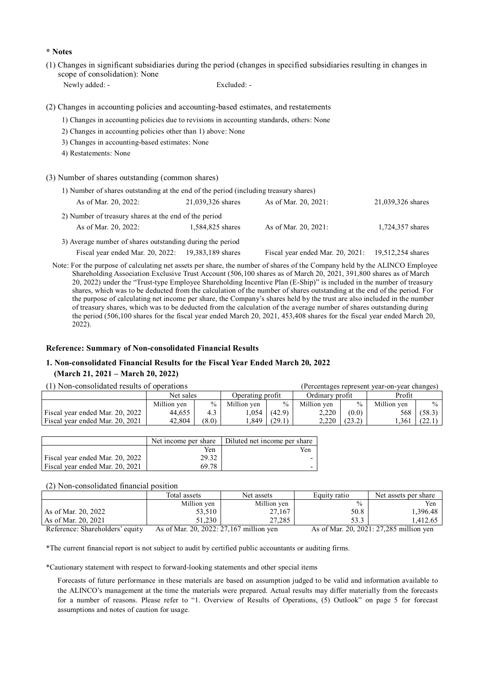#### **\* Notes**

(1) Changes in significant subsidiaries during the period (changes in specified subsidiaries resulting in changes in scope of consolidation): None

Newly added: - Excluded: -

(2) Changes in accounting policies and accounting-based estimates, and restatements

- 1) Changes in accounting policies due to revisions in accounting standards, others: None
- 2) Changes in accounting policies other than 1) above: None
- 3) Changes in accounting-based estimates: None
- 4) Restatements: None
- (3) Number of shares outstanding (common shares)

| 1) Number of shares outstanding at the end of the period (including treasury shares) |                   |                                  |                   |  |  |  |  |  |
|--------------------------------------------------------------------------------------|-------------------|----------------------------------|-------------------|--|--|--|--|--|
| As of Mar. 20, 2022:                                                                 | 21,039,326 shares | As of Mar. 20, 2021:             | 21,039,326 shares |  |  |  |  |  |
| 2) Number of treasury shares at the end of the period                                |                   |                                  |                   |  |  |  |  |  |
| As of Mar. 20, 2022:                                                                 | 1,584,825 shares  | As of Mar. 20, 2021:             | 1,724,357 shares  |  |  |  |  |  |
| 3) Average number of shares outstanding during the period                            |                   |                                  |                   |  |  |  |  |  |
| Fiscal year ended Mar. 20, 2022: 19,383,189 shares                                   |                   | Fiscal year ended Mar. 20, 2021: | 19,512,254 shares |  |  |  |  |  |

Note: For the purpose of calculating net assets per share, the number of shares of the Company held by the ALINCO Employee Shareholding Association Exclusive Trust Account (506,100 shares as of March 20, 2021, 391,800 shares as of March 20, 2022) under the "Trust-type Employee Shareholding Incentive Plan (E-Ship)" is included in the number of treasury shares, which was to be deducted from the calculation of the number of shares outstanding at the end of the period. For the purpose of calculating net income per share, the Company's shares held by the trust are also included in the number of treasury shares, which was to be deducted from the calculation of the average number of shares outstanding during the period (506,100 shares for the fiscal year ended March 20, 2021, 453,408 shares for the fiscal year ended March 20,  $2022$ ).

#### **Reference: Summary of Non-consolidated Financial Results**

## **1. Non-consolidated Financial Results for the Fiscal Year Ended March 20, 2022 (March 21, 2021 – March 20, 2022)**

| (1) Non-consolidated results of operations | (Percentages represent vear-on-vear changes) |               |                  |        |                 |        |             |               |
|--------------------------------------------|----------------------------------------------|---------------|------------------|--------|-----------------|--------|-------------|---------------|
|                                            | Net sales                                    |               | Operating profit |        | Ordinary profit |        | Profit      |               |
|                                            | Million yen                                  | $\frac{0}{0}$ | Million ven      | $\%$   | Million ven     | 0/2    | Million ven | $\frac{0}{0}$ |
| Fiscal year ended Mar. 20, 2022            | 44.655                                       | 4.3           | .054             | (42.9) | 2.220           | (0.0)  | 568         | (58.3)        |
| Fiscal year ended Mar. 20, 2021            | 42,804                                       | (8.0)         | .849             | (29.1) | 2.220           | (23.2) | .361        | (22.)         |

|                                 | Net income per share | Diluted net income per share |
|---------------------------------|----------------------|------------------------------|
|                                 | Yen                  | Yen                          |
| Fiscal year ended Mar. 20, 2022 | 29.32                |                              |
| Fiscal year ended Mar. 20, 2021 | 69.78                |                              |

#### (2) Non-consolidated financial position

|                                 | Total assets                             | Net assets  | Equity ratio  | Net assets per share                    |
|---------------------------------|------------------------------------------|-------------|---------------|-----------------------------------------|
|                                 | Million yen                              | Million yen | $\frac{0}{0}$ | Yen                                     |
| As of Mar. 20, 2022             | 53,510                                   | 27,167      | 50.8          | 1,396.48                                |
| As of Mar. 20, 2021             | 51.230                                   | 27,285      | 53.3          | 1.412.65                                |
| Reference: Shareholders' equity | As of Mar. 20, 2022: 27, 167 million yen |             |               | As of Mar. 20, 2021: 27,285 million ven |

\*The current financial report is not subject to audit by certified public accountants or auditing firms.

\*Cautionary statement with respect to forward-looking statements and other special items

Forecasts of future performance in these materials are based on assumption judged to be valid and information available to the ALINCO's management at the time the materials were prepared. Actual results may differ materially from the forecasts for a number of reasons. Please refer to "1. Overview of Results of Operations, (5) Outlook" on page 5 for forecast assumptions and notes of caution for usage.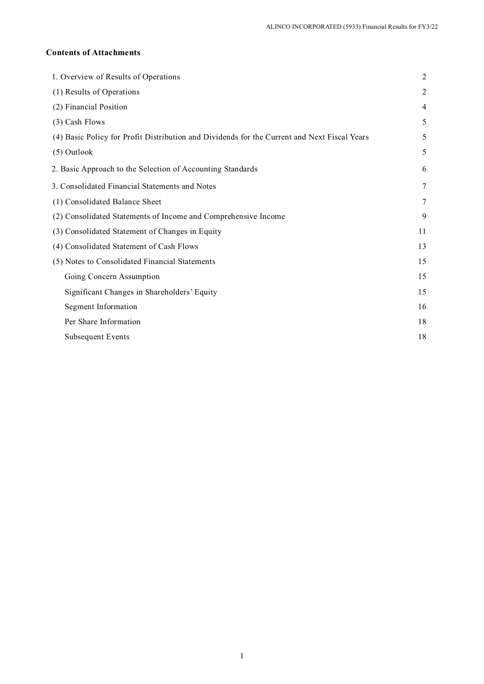## **Contents of Attachments**

| 1. Overview of Results of Operations                                                         | $\overline{2}$ |
|----------------------------------------------------------------------------------------------|----------------|
| (1) Results of Operations                                                                    | 2              |
| (2) Financial Position                                                                       | 4              |
| (3) Cash Flows                                                                               | 5              |
| (4) Basic Policy for Profit Distribution and Dividends for the Current and Next Fiscal Years | 5              |
| (5) Outlook                                                                                  | 5              |
| 2. Basic Approach to the Selection of Accounting Standards                                   | 6              |
| 3. Consolidated Financial Statements and Notes                                               | 7              |
| (1) Consolidated Balance Sheet                                                               | 7              |
| (2) Consolidated Statements of Income and Comprehensive Income                               | 9              |
| (3) Consolidated Statement of Changes in Equity                                              | 11             |
| (4) Consolidated Statement of Cash Flows                                                     | 13             |
| (5) Notes to Consolidated Financial Statements                                               | 15             |
| Going Concern Assumption                                                                     | 15             |
| Significant Changes in Shareholders' Equity                                                  | 15             |
| Segment Information                                                                          | 16             |
| Per Share Information                                                                        | 18             |
| Subsequent Events                                                                            | 18             |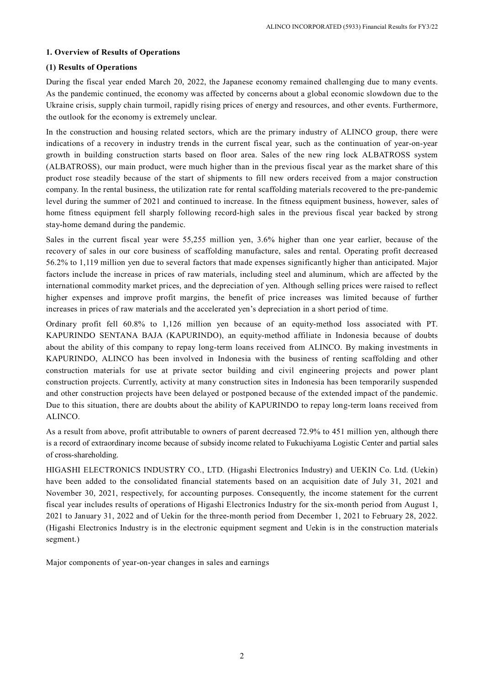#### **1. Overview of Results of Operations**

### **(1) Results of Operations**

During the fiscal year ended March 20, 2022, the Japanese economy remained challenging due to many events. As the pandemic continued, the economy was affected by concerns about a global economic slowdown due to the Ukraine crisis, supply chain turmoil, rapidly rising prices of energy and resources, and other events. Furthermore, the outlook for the economy is extremely unclear.

In the construction and housing related sectors, which are the primary industry of ALINCO group, there were indications of a recovery in industry trends in the current fiscal year, such as the continuation of year-on-year growth in building construction starts based on floor area. Sales of the new ring lock ALBATROSS system (ALBATROSS), our main product, were much higher than in the previous fiscal year as the market share of this product rose steadily because of the start of shipments to fill new orders received from a major construction company. In the rental business, the utilization rate for rental scaffolding materials recovered to the pre-pandemic level during the summer of 2021 and continued to increase. In the fitness equipment business, however, sales of home fitness equipment fell sharply following record-high sales in the previous fiscal year backed by strong stay-home demand during the pandemic.

Sales in the current fiscal year were 55,255 million yen, 3.6% higher than one year earlier, because of the recovery of sales in our core business of scaffolding manufacture, sales and rental. Operating profit decreased 56.2% to 1,119 million yen due to several factors that made expenses significantly higher than anticipated. Major factors include the increase in prices of raw materials, including steel and aluminum, which are affected by the international commodity market prices, and the depreciation of yen. Although selling prices were raised to reflect higher expenses and improve profit margins, the benefit of price increases was limited because of further increases in prices of raw materials and the accelerated yen's depreciation in a short period of time.

Ordinary profit fell 60.8% to 1,126 million yen because of an equity-method loss associated with PT. KAPURINDO SENTANA BAJA (KAPURINDO), an equity-method affiliate in Indonesia because of doubts about the ability of this company to repay long-term loans received from ALINCO. By making investments in KAPURINDO, ALINCO has been involved in Indonesia with the business of renting scaffolding and other construction materials for use at private sector building and civil engineering projects and power plant construction projects. Currently, activity at many construction sites in Indonesia has been temporarily suspended and other construction projects have been delayed or postponed because of the extended impact of the pandemic. Due to this situation, there are doubts about the ability of KAPURINDO to repay long-term loans received from ALINCO.

As a result from above, profit attributable to owners of parent decreased 72.9% to 451 million yen, although there is a record of extraordinary income because of subsidy income related to Fukuchiyama Logistic Center and partial sales of cross-shareholding.

HIGASHI ELECTRONICS INDUSTRY CO., LTD. (Higashi Electronics Industry) and UEKIN Co. Ltd. (Uekin) have been added to the consolidated financial statements based on an acquisition date of July 31, 2021 and November 30, 2021, respectively, for accounting purposes. Consequently, the income statement for the current fiscal year includes results of operations of Higashi Electronics Industry for the six-month period from August 1, 2021 to January 31, 2022 and of Uekin for the three-month period from December 1, 2021 to February 28, 2022. (Higashi Electronics Industry is in the electronic equipment segment and Uekin is in the construction materials segment.)

Major components of year-on-year changes in sales and earnings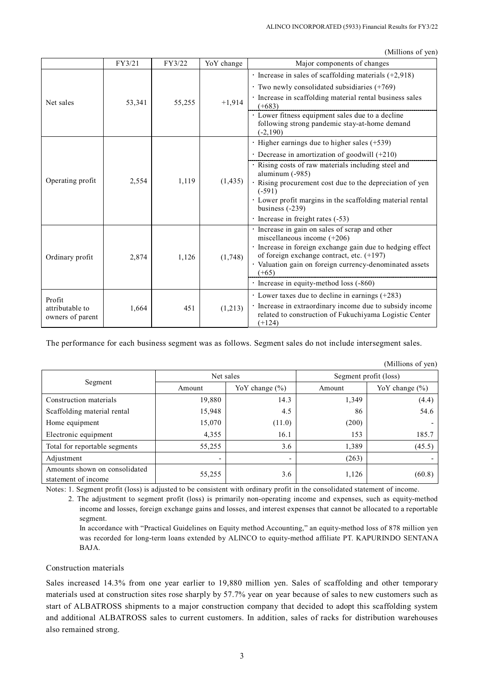(Millions of yen)

|                                                | FY3/21                                                                                        | FY3/22 | YoY change | ummons or you<br>Major components of changes                                                                                                                                                                                                                      |
|------------------------------------------------|-----------------------------------------------------------------------------------------------|--------|------------|-------------------------------------------------------------------------------------------------------------------------------------------------------------------------------------------------------------------------------------------------------------------|
| Net sales                                      | 53,341                                                                                        | 55,255 | $+1,914$   | $\cdot$ Increase in sales of scaffolding materials (+2,918)<br>$\cdot$ Two newly consolidated subsidiaries (+769)<br>· Increase in scaffolding material rental business sales<br>$(+683)$<br>· Lower fitness equipment sales due to a decline                     |
|                                                |                                                                                               |        |            | following strong pandemic stay-at-home demand<br>$(-2, 190)$                                                                                                                                                                                                      |
| Operating profit<br>2,554<br>1,119<br>(1, 435) | · Higher earnings due to higher sales (+539)<br>· Decrease in amortization of goodwill (+210) |        |            |                                                                                                                                                                                                                                                                   |
|                                                |                                                                                               |        |            | · Rising costs of raw materials including steel and<br>aluminum (-985)<br>· Rising procurement cost due to the depreciation of yen<br>$(-591)$<br>· Lower profit margins in the scaffolding material rental<br>business $(-239)$                                  |
|                                                |                                                                                               |        |            | · Increase in freight rates (-53)                                                                                                                                                                                                                                 |
| Ordinary profit                                | 2,874                                                                                         | 1,126  | (1,748)    | · Increase in gain on sales of scrap and other<br>miscellaneous income $(+206)$<br>· Increase in foreign exchange gain due to hedging effect<br>of foreign exchange contract, etc. $(+197)$<br>· Valuation gain on foreign currency-denominated assets<br>$(+65)$ |
|                                                |                                                                                               |        |            | · Increase in equity-method loss (-860)                                                                                                                                                                                                                           |
| Profit<br>attributable to<br>owners of parent  | 1,664                                                                                         | 451    | (1,213)    | $\cdot$ Lower taxes due to decline in earnings (+283)<br>· Increase in extraordinary income due to subsidy income<br>related to construction of Fukuchiyama Logistic Center<br>$(+124)$                                                                           |

The performance for each business segment was as follows. Segment sales do not include intersegment sales.

| $\cdots$                                             |           |                    |                       |                    |  |
|------------------------------------------------------|-----------|--------------------|-----------------------|--------------------|--|
|                                                      | Net sales |                    | Segment profit (loss) |                    |  |
| Segment                                              | Amount    | YoY change $(\% )$ | Amount                | YoY change $(\% )$ |  |
| Construction materials                               | 19,880    | 14.3               | 1,349                 | (4.4)              |  |
| Scaffolding material rental                          | 15,948    | 4.5                | 86                    | 54.6               |  |
| Home equipment                                       | 15,070    | (11.0)             | (200)                 |                    |  |
| Electronic equipment                                 | 4,355     | 16.1               | 153                   | 185.7              |  |
| Total for reportable segments                        | 55,255    | 3.6                | 1,389                 | (45.5)             |  |
| Adjustment                                           | -         |                    | (263)                 |                    |  |
| Amounts shown on consolidated<br>statement of income | 55,255    | 3.6                | 1,126                 | (60.8)             |  |

(Millions of yen)

Notes: 1. Segment profit (loss) is adjusted to be consistent with ordinary profit in the consolidated statement of income.

2. The adjustment to segment profit (loss) is primarily non-operating income and expenses, such as equity-method income and losses, foreign exchange gains and losses, and interest expenses that cannot be allocated to a reportable segment.

In accordance with "Practical Guidelines on Equity method Accounting," an equity-method loss of 878 million yen was recorded for long-term loans extended by ALINCO to equity-method affiliate PT. KAPURINDO SENTANA BAJA.

Construction materials

Sales increased 14.3% from one year earlier to 19,880 million yen. Sales of scaffolding and other temporary materials used at construction sites rose sharply by 57.7% year on year because of sales to new customers such as start of ALBATROSS shipments to a major construction company that decided to adopt this scaffolding system and additional ALBATROSS sales to current customers. In addition, sales of racks for distribution warehouses also remained strong.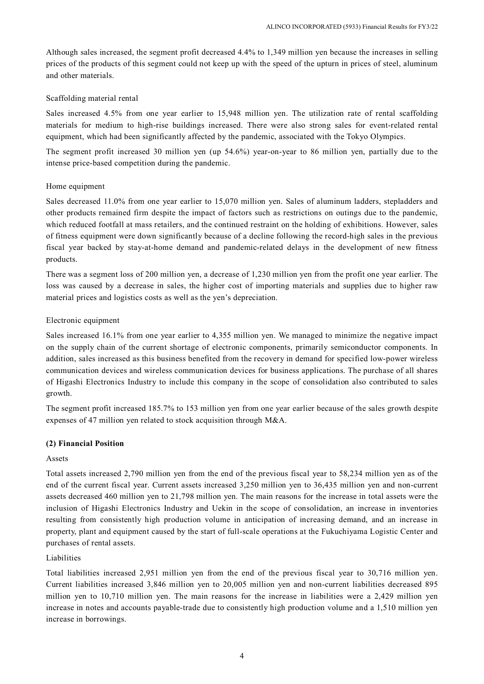Although sales increased, the segment profit decreased 4.4% to 1,349 million yen because the increases in selling prices of the products of this segment could not keep up with the speed of the upturn in prices of steel, aluminum and other materials.

#### Scaffolding material rental

Sales increased 4.5% from one year earlier to 15,948 million yen. The utilization rate of rental scaffolding materials for medium to high-rise buildings increased. There were also strong sales for event-related rental equipment, which had been significantly affected by the pandemic, associated with the Tokyo Olympics.

The segment profit increased 30 million yen (up 54.6%) year-on-year to 86 million yen, partially due to the intense price-based competition during the pandemic.

#### Home equipment

Sales decreased 11.0% from one year earlier to 15,070 million yen. Sales of aluminum ladders, stepladders and other products remained firm despite the impact of factors such as restrictions on outings due to the pandemic, which reduced footfall at mass retailers, and the continued restraint on the holding of exhibitions. However, sales of fitness equipment were down significantly because of a decline following the record-high sales in the previous fiscal year backed by stay-at-home demand and pandemic-related delays in the development of new fitness products.

There was a segment loss of 200 million yen, a decrease of 1,230 million yen from the profit one year earlier. The loss was caused by a decrease in sales, the higher cost of importing materials and supplies due to higher raw material prices and logistics costs as well as the yen's depreciation.

#### Electronic equipment

Sales increased 16.1% from one year earlier to 4,355 million yen. We managed to minimize the negative impact on the supply chain of the current shortage of electronic components, primarily semiconductor components. In addition, sales increased as this business benefited from the recovery in demand for specified low-power wireless communication devices and wireless communication devices for business applications. The purchase of all shares of Higashi Electronics Industry to include this company in the scope of consolidation also contributed to sales growth.

The segment profit increased 185.7% to 153 million yen from one year earlier because of the sales growth despite expenses of 47 million yen related to stock acquisition through M&A.

#### **(2) Financial Position**

#### Assets

Total assets increased 2,790 million yen from the end of the previous fiscal year to 58,234 million yen as of the end of the current fiscal year. Current assets increased 3,250 million yen to 36,435 million yen and non-current assets decreased 460 million yen to 21,798 million yen. The main reasons for the increase in total assets were the inclusion of Higashi Electronics Industry and Uekin in the scope of consolidation, an increase in inventories resulting from consistently high production volume in anticipation of increasing demand, and an increase in property, plant and equipment caused by the start of full-scale operations at the Fukuchiyama Logistic Center and purchases of rental assets.

#### Liabilities

Total liabilities increased 2,951 million yen from the end of the previous fiscal year to 30,716 million yen. Current liabilities increased 3,846 million yen to 20,005 million yen and non-current liabilities decreased 895 million yen to 10,710 million yen. The main reasons for the increase in liabilities were a 2,429 million yen increase in notes and accounts payable-trade due to consistently high production volume and a 1,510 million yen increase in borrowings.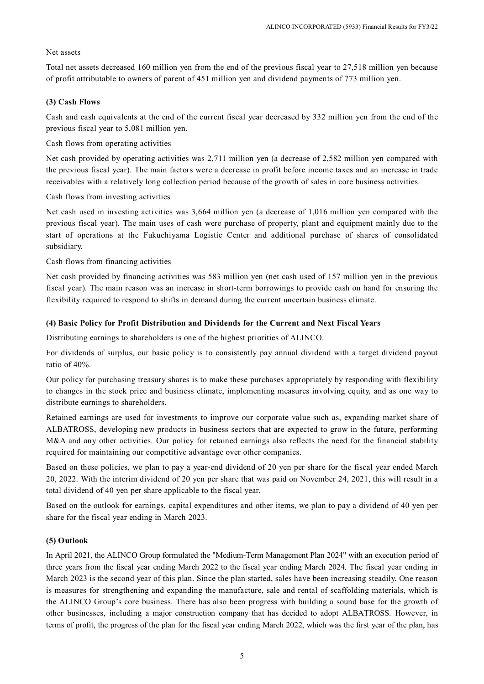## Net assets

Total net assets decreased 160 million yen from the end of the previous fiscal year to 27,518 million yen because of profit attributable to owners of parent of 451 million yen and dividend payments of 773 million yen.

## **(3) Cash Flows**

Cash and cash equivalents at the end of the current fiscal year decreased by 332 million yen from the end of the previous fiscal year to 5,081 million yen.

Cash flows from operating activities

Net cash provided by operating activities was 2,711 million yen (a decrease of 2,582 million yen compared with the previous fiscal year). The main factors were a decrease in profit before income taxes and an increase in trade receivables with a relatively long collection period because of the growth of sales in core business activities.

Cash flows from investing activities

Net cash used in investing activities was 3,664 million yen (a decrease of 1,016 million yen compared with the previous fiscal year). The main uses of cash were purchase of property, plant and equipment mainly due to the start of operations at the Fukuchiyama Logistic Center and additional purchase of shares of consolidated subsidiary.

Cash flows from financing activities

Net cash provided by financing activities was 583 million yen (net cash used of 157 million yen in the previous fiscal year). The main reason was an increase in short-term borrowings to provide cash on hand for ensuring the flexibility required to respond to shifts in demand during the current uncertain business climate.

### **(4) Basic Policy for Profit Distribution and Dividends for the Current and Next Fiscal Years**

Distributing earnings to shareholders is one of the highest priorities of ALINCO.

For dividends of surplus, our basic policy is to consistently pay annual dividend with a target dividend payout ratio of 40%.

Our policy for purchasing treasury shares is to make these purchases appropriately by responding with flexibility to changes in the stock price and business climate, implementing measures involving equity, and as one way to distribute earnings to shareholders.

Retained earnings are used for investments to improve our corporate value such as, expanding market share of ALBATROSS, developing new products in business sectors that are expected to grow in the future, performing M&A and any other activities. Our policy for retained earnings also reflects the need for the financial stability required for maintaining our competitive advantage over other companies.

Based on these policies, we plan to pay a year-end dividend of 20 yen per share for the fiscal year ended March 20, 2022. With the interim dividend of 20 yen per share that was paid on November 24, 2021, this will result in a total dividend of 40 yen per share applicable to the fiscal year.

Based on the outlook for earnings, capital expenditures and other items, we plan to pay a dividend of 40 yen per share for the fiscal year ending in March 2023.

## **(5) Outlook**

In April 2021, the ALINCO Group formulated the "Medium-Term Management Plan 2024" with an execution period of three years from the fiscal year ending March 2022 to the fiscal year ending March 2024. The fiscal year ending in March 2023 is the second year of this plan. Since the plan started, sales have been increasing steadily. One reason is measures for strengthening and expanding the manufacture, sale and rental of scaffolding materials, which is the ALINCO Group's core business. There has also been progress with building a sound base for the growth of other businesses, including a major construction company that has decided to adopt ALBATROSS. However, in terms of profit, the progress of the plan for the fiscal year ending March 2022, which was the first year of the plan, has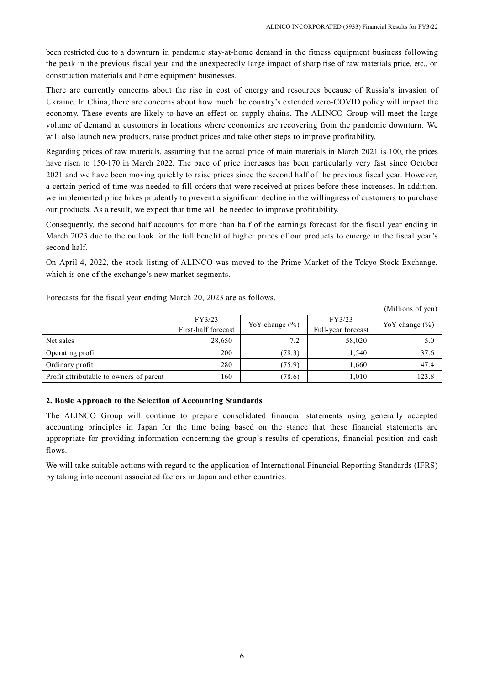been restricted due to a downturn in pandemic stay-at-home demand in the fitness equipment business following the peak in the previous fiscal year and the unexpectedly large impact of sharp rise of raw materials price, etc., on construction materials and home equipment businesses.

There are currently concerns about the rise in cost of energy and resources because of Russia's invasion of Ukraine. In China, there are concerns about how much the country's extended zero-COVID policy will impact the economy. These events are likely to have an effect on supply chains. The ALINCO Group will meet the large volume of demand at customers in locations where economies are recovering from the pandemic downturn. We will also launch new products, raise product prices and take other steps to improve profitability.

Regarding prices of raw materials, assuming that the actual price of main materials in March 2021 is 100, the prices have risen to 150-170 in March 2022. The pace of price increases has been particularly very fast since October 2021 and we have been moving quickly to raise prices since the second half of the previous fiscal year. However, a certain period of time was needed to fill orders that were received at prices before these increases. In addition, we implemented price hikes prudently to prevent a significant decline in the willingness of customers to purchase our products. As a result, we expect that time will be needed to improve profitability.

Consequently, the second half accounts for more than half of the earnings forecast for the fiscal year ending in March 2023 due to the outlook for the full benefit of higher prices of our products to emerge in the fiscal year's second half.

On April 4, 2022, the stock listing of ALINCO was moved to the Prime Market of the Tokyo Stock Exchange, which is one of the exchange's new market segments.

|                                         | FY3/23<br>First-half forecast | Yo Y change $(\% )$ | FY3/23<br>Full-year forecast | Yo Y change $(\% )$ |
|-----------------------------------------|-------------------------------|---------------------|------------------------------|---------------------|
| Net sales                               | 28,650                        | 7.2                 | 58,020                       | 5.0                 |
| Operating profit                        | 200                           | (78.3)              | 1,540                        | 37.6                |
| Ordinary profit                         | 280                           | (75.9)              | 1.660                        | 47.4                |
| Profit attributable to owners of parent | 160                           | (78.6)              | 1,010                        | 123.8               |

Forecasts for the fiscal year ending March 20, 2023 are as follows.

(Millions of yen)

## **2. Basic Approach to the Selection of Accounting Standards**

The ALINCO Group will continue to prepare consolidated financial statements using generally accepted accounting principles in Japan for the time being based on the stance that these financial statements are appropriate for providing information concerning the group's results of operations, financial position and cash flows.

We will take suitable actions with regard to the application of International Financial Reporting Standards (IFRS) by taking into account associated factors in Japan and other countries.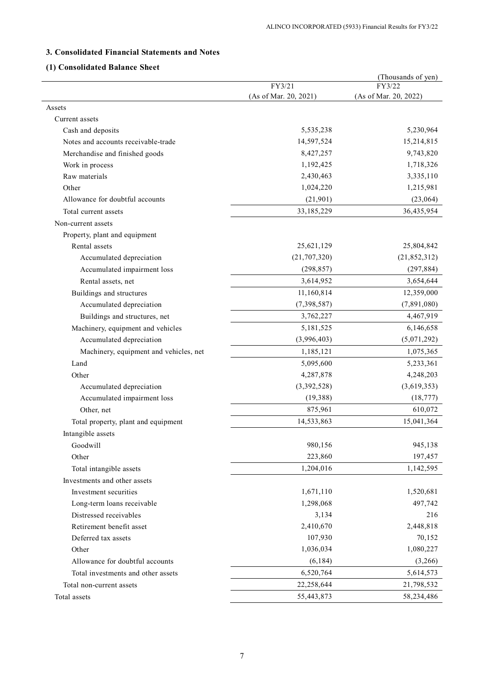## **3. Consolidated Financial Statements and Notes**

## **(1) Consolidated Balance Sheet**

|                                        |                                 | (Thousands of yen)              |
|----------------------------------------|---------------------------------|---------------------------------|
|                                        | FY3/21<br>(As of Mar. 20, 2021) | FY3/22<br>(As of Mar. 20, 2022) |
| Assets                                 |                                 |                                 |
| Current assets                         |                                 |                                 |
| Cash and deposits                      | 5,535,238                       | 5,230,964                       |
| Notes and accounts receivable-trade    | 14,597,524                      | 15,214,815                      |
| Merchandise and finished goods         | 8,427,257                       | 9,743,820                       |
| Work in process                        | 1,192,425                       | 1,718,326                       |
| Raw materials                          | 2,430,463                       | 3,335,110                       |
| Other                                  | 1,024,220                       | 1,215,981                       |
| Allowance for doubtful accounts        | (21,901)                        | (23,064)                        |
| Total current assets                   | 33,185,229                      | 36,435,954                      |
| Non-current assets                     |                                 |                                 |
| Property, plant and equipment          |                                 |                                 |
| Rental assets                          | 25,621,129                      | 25,804,842                      |
| Accumulated depreciation               | (21, 707, 320)                  | (21, 852, 312)                  |
| Accumulated impairment loss            | (298, 857)                      | (297, 884)                      |
| Rental assets, net                     | 3,614,952                       | 3,654,644                       |
| Buildings and structures               | 11,160,814                      | 12,359,000                      |
| Accumulated depreciation               | (7,398,587)                     | (7,891,080)                     |
| Buildings and structures, net          | 3,762,227                       | 4,467,919                       |
| Machinery, equipment and vehicles      | 5,181,525                       | 6,146,658                       |
| Accumulated depreciation               | (3,996,403)                     | (5,071,292)                     |
| Machinery, equipment and vehicles, net | 1,185,121                       | 1,075,365                       |
| Land                                   | 5,095,600                       | 5,233,361                       |
| Other                                  | 4,287,878                       | 4,248,203                       |
| Accumulated depreciation               | (3,392,528)                     | (3,619,353)                     |
| Accumulated impairment loss            | (19, 388)                       | (18, 777)                       |
| Other, net                             | 875,961                         | 610,072                         |
| Total property, plant and equipment    | 14,533,863                      | 15,041,364                      |
| Intangible assets                      |                                 |                                 |
| Goodwill                               | 980,156                         | 945,138                         |
| Other                                  | 223,860                         | 197,457                         |
| Total intangible assets                | 1,204,016                       | 1,142,595                       |
| Investments and other assets           |                                 |                                 |
| Investment securities                  | 1,671,110                       | 1,520,681                       |
| Long-term loans receivable             | 1,298,068                       | 497,742                         |
| Distressed receivables                 | 3,134                           | 216                             |
| Retirement benefit asset               | 2,410,670                       | 2,448,818                       |
| Deferred tax assets                    | 107,930                         | 70,152                          |
| Other                                  | 1,036,034                       | 1,080,227                       |
| Allowance for doubtful accounts        | (6, 184)                        | (3,266)                         |
| Total investments and other assets     | 6,520,764                       | 5,614,573                       |
| Total non-current assets               | 22,258,644                      | 21,798,532                      |
| Total assets                           | 55,443,873                      | 58,234,486                      |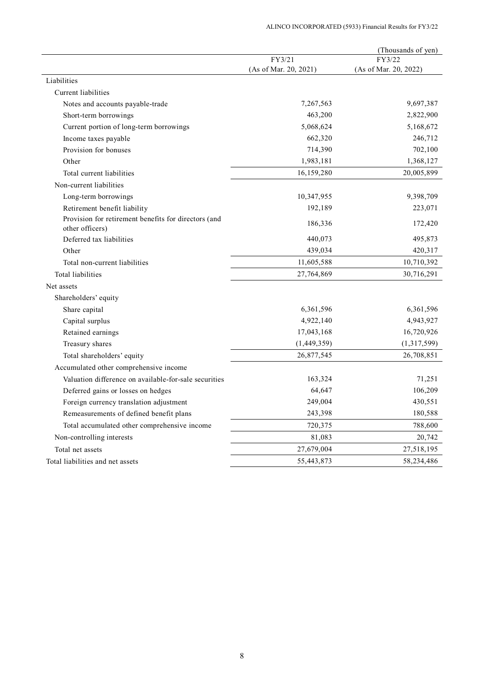|                                                                         |                       | (Thousands of yen)    |
|-------------------------------------------------------------------------|-----------------------|-----------------------|
|                                                                         | FY3/21                | FY3/22                |
|                                                                         | (As of Mar. 20, 2021) | (As of Mar. 20, 2022) |
| Liabilities                                                             |                       |                       |
| Current liabilities                                                     |                       |                       |
| Notes and accounts payable-trade                                        | 7,267,563             | 9,697,387             |
| Short-term borrowings                                                   | 463,200               | 2,822,900             |
| Current portion of long-term borrowings                                 | 5,068,624             | 5,168,672             |
| Income taxes payable                                                    | 662,320               | 246,712               |
| Provision for bonuses                                                   | 714,390               | 702,100               |
| Other                                                                   | 1,983,181             | 1,368,127             |
| Total current liabilities                                               | 16,159,280            | 20,005,899            |
| Non-current liabilities                                                 |                       |                       |
| Long-term borrowings                                                    | 10,347,955            | 9,398,709             |
| Retirement benefit liability                                            | 192,189               | 223,071               |
| Provision for retirement benefits for directors (and<br>other officers) | 186,336               | 172,420               |
| Deferred tax liabilities                                                | 440,073               | 495,873               |
| Other                                                                   | 439,034               | 420,317               |
| Total non-current liabilities                                           | 11,605,588            | 10,710,392            |
| <b>Total liabilities</b>                                                | 27,764,869            | 30,716,291            |
| Net assets                                                              |                       |                       |
| Shareholders' equity                                                    |                       |                       |
| Share capital                                                           | 6,361,596             | 6,361,596             |
| Capital surplus                                                         | 4,922,140             | 4,943,927             |
| Retained earnings                                                       | 17,043,168            | 16,720,926            |
| Treasury shares                                                         | (1,449,359)           | (1,317,599)           |
| Total shareholders' equity                                              | 26,877,545            | 26,708,851            |
| Accumulated other comprehensive income                                  |                       |                       |
| Valuation difference on available-for-sale securities                   | 163,324               | 71,251                |
| Deferred gains or losses on hedges                                      | 64,647                | 106,209               |
| Foreign currency translation adjustment                                 | 249,004               | 430,551               |
| Remeasurements of defined benefit plans                                 | 243,398               | 180,588               |
| Total accumulated other comprehensive income                            | 720,375               | 788,600               |
| Non-controlling interests                                               | 81,083                | 20,742                |
| Total net assets                                                        | 27,679,004            | 27,518,195            |
| Total liabilities and net assets                                        | 55,443,873            | 58,234,486            |
|                                                                         |                       |                       |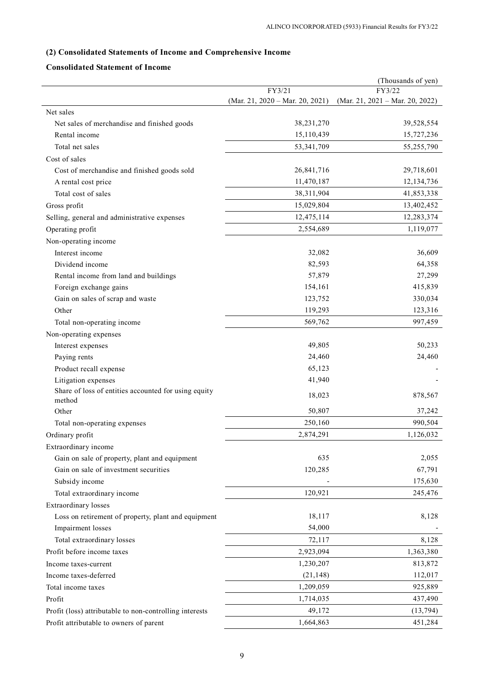## **(2) Consolidated Statements of Income and Comprehensive Income**

## **Consolidated Statement of Income**

|                                                         |                                 | (Thousands of yen)              |
|---------------------------------------------------------|---------------------------------|---------------------------------|
|                                                         | FY3/21                          | FY3/22                          |
|                                                         | (Mar. 21, 2020 - Mar. 20, 2021) | (Mar. 21, 2021 - Mar. 20, 2022) |
| Net sales                                               |                                 |                                 |
| Net sales of merchandise and finished goods             | 38,231,270                      | 39,528,554                      |
| Rental income                                           | 15,110,439                      | 15,727,236                      |
| Total net sales                                         | 53,341,709                      | 55,255,790                      |
| Cost of sales                                           |                                 |                                 |
| Cost of merchandise and finished goods sold             | 26,841,716                      | 29,718,601                      |
| A rental cost price                                     | 11,470,187                      | 12,134,736                      |
| Total cost of sales                                     | 38,311,904                      | 41,853,338                      |
| Gross profit                                            | 15,029,804                      | 13,402,452                      |
| Selling, general and administrative expenses            | 12,475,114                      | 12,283,374                      |
| Operating profit                                        | 2,554,689                       | 1,119,077                       |
| Non-operating income                                    |                                 |                                 |
| Interest income                                         | 32,082                          | 36,609                          |
| Dividend income                                         | 82,593                          | 64,358                          |
| Rental income from land and buildings                   | 57,879                          | 27,299                          |
| Foreign exchange gains                                  | 154,161                         | 415,839                         |
| Gain on sales of scrap and waste                        | 123,752                         | 330,034                         |
| Other                                                   | 119,293                         | 123,316                         |
| Total non-operating income                              | 569,762                         | 997,459                         |
| Non-operating expenses                                  |                                 |                                 |
| Interest expenses                                       | 49,805                          | 50,233                          |
| Paying rents                                            | 24,460                          | 24,460                          |
| Product recall expense                                  | 65,123                          |                                 |
| Litigation expenses                                     | 41,940                          |                                 |
| Share of loss of entities accounted for using equity    |                                 |                                 |
| method                                                  | 18,023                          | 878,567                         |
| Other                                                   | 50,807                          | 37,242                          |
| Total non-operating expenses                            | 250,160                         | 990,504                         |
| Ordinary profit                                         | 2,874,291                       | 1,126,032                       |
| Extraordinary income                                    |                                 |                                 |
| Gain on sale of property, plant and equipment           | 635                             | 2,055                           |
| Gain on sale of investment securities                   | 120,285                         | 67,791                          |
| Subsidy income                                          |                                 | 175,630                         |
| Total extraordinary income                              | 120,921                         | 245,476                         |
| Extraordinary losses                                    |                                 |                                 |
| Loss on retirement of property, plant and equipment     | 18,117                          | 8,128                           |
| Impairment losses                                       | 54,000                          |                                 |
| Total extraordinary losses                              | 72,117                          | 8,128                           |
| Profit before income taxes                              | 2,923,094                       | 1,363,380                       |
| Income taxes-current                                    | 1,230,207                       | 813,872                         |
| Income taxes-deferred                                   | (21, 148)                       | 112,017                         |
| Total income taxes                                      | 1,209,059                       | 925,889                         |
| Profit                                                  | 1,714,035                       | 437,490                         |
| Profit (loss) attributable to non-controlling interests | 49,172                          | (13, 794)                       |
| Profit attributable to owners of parent                 | 1,664,863                       | 451,284                         |
|                                                         |                                 |                                 |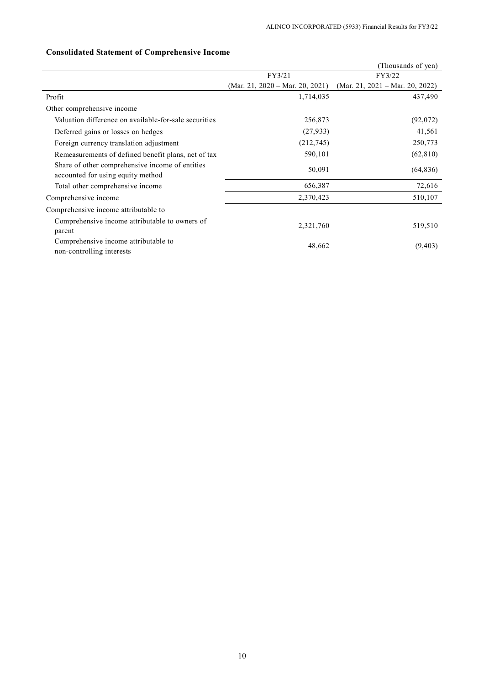|                                                                                      |                                 | (Thousands of yen)              |
|--------------------------------------------------------------------------------------|---------------------------------|---------------------------------|
|                                                                                      | FY3/21<br>FY3/22                |                                 |
|                                                                                      | (Mar. 21, 2020 – Mar. 20, 2021) | (Mar. 21, 2021 – Mar. 20, 2022) |
| Profit                                                                               | 1,714,035                       | 437,490                         |
| Other comprehensive income                                                           |                                 |                                 |
| Valuation difference on available-for-sale securities                                | 256,873                         | (92,072)                        |
| Deferred gains or losses on hedges                                                   | (27, 933)                       | 41,561                          |
| Foreign currency translation adjustment                                              | (212, 745)                      | 250,773                         |
| Remeasurements of defined benefit plans, net of tax                                  | 590,101                         | (62, 810)                       |
| Share of other comprehensive income of entities<br>accounted for using equity method | 50,091                          | (64, 836)                       |
| Total other comprehensive income                                                     | 656,387                         | 72,616                          |
| Comprehensive income                                                                 | 2,370,423                       | 510,107                         |
| Comprehensive income attributable to                                                 |                                 |                                 |
| Comprehensive income attributable to owners of<br>parent                             | 2,321,760                       | 519,510                         |
| Comprehensive income attributable to<br>non-controlling interests                    | 48,662                          | (9, 403)                        |

## **Consolidated Statement of Comprehensive Income**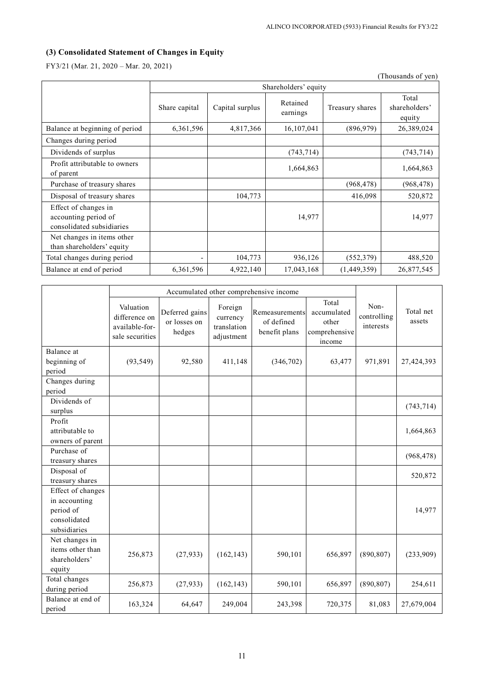## **(3) Consolidated Statement of Changes in Equity**

FY3/21 (Mar. 21, 2020 – Mar. 20, 2021)

|                                                                           |                          |                      |                      |                 | (Thousands of yen)               |  |  |  |
|---------------------------------------------------------------------------|--------------------------|----------------------|----------------------|-----------------|----------------------------------|--|--|--|
|                                                                           |                          | Shareholders' equity |                      |                 |                                  |  |  |  |
|                                                                           | Share capital            | Capital surplus      | Retained<br>earnings | Treasury shares | Total<br>shareholders'<br>equity |  |  |  |
| Balance at beginning of period                                            | 6,361,596                | 4,817,366            | 16, 107, 041         | (896, 979)      | 26,389,024                       |  |  |  |
| Changes during period                                                     |                          |                      |                      |                 |                                  |  |  |  |
| Dividends of surplus                                                      |                          |                      | (743, 714)           |                 | (743, 714)                       |  |  |  |
| Profit attributable to owners<br>of parent                                |                          |                      | 1,664,863            |                 | 1,664,863                        |  |  |  |
| Purchase of treasury shares                                               |                          |                      |                      | (968, 478)      | (968, 478)                       |  |  |  |
| Disposal of treasury shares                                               |                          | 104,773              |                      | 416,098         | 520,872                          |  |  |  |
| Effect of changes in<br>accounting period of<br>consolidated subsidiaries |                          |                      | 14,977               |                 | 14,977                           |  |  |  |
| Net changes in items other<br>than shareholders' equity                   |                          |                      |                      |                 |                                  |  |  |  |
| Total changes during period                                               | $\overline{\phantom{a}}$ | 104,773              | 936,126              | (552, 379)      | 488,520                          |  |  |  |
| Balance at end of period                                                  | 6,361,596                | 4,922,140            | 17,043,168           | (1,449,359)     | 26,877,545                       |  |  |  |

|                                                                                 | Accumulated other comprehensive income                          |                                          |                                                  |                                               |                                                          |                                  |                     |
|---------------------------------------------------------------------------------|-----------------------------------------------------------------|------------------------------------------|--------------------------------------------------|-----------------------------------------------|----------------------------------------------------------|----------------------------------|---------------------|
|                                                                                 | Valuation<br>difference on<br>available-for-<br>sale securities | Deferred gains<br>or losses on<br>hedges | Foreign<br>currency<br>translation<br>adjustment | Remeasurements<br>of defined<br>benefit plans | Total<br>accumulated<br>other<br>comprehensive<br>income | Non-<br>controlling<br>interests | Total net<br>assets |
| Balance at<br>beginning of                                                      | (93, 549)                                                       | 92,580                                   | 411,148                                          | (346, 702)                                    | 63,477                                                   | 971,891                          | 27,424,393          |
| period                                                                          |                                                                 |                                          |                                                  |                                               |                                                          |                                  |                     |
| Changes during<br>period                                                        |                                                                 |                                          |                                                  |                                               |                                                          |                                  |                     |
| Dividends of<br>surplus                                                         |                                                                 |                                          |                                                  |                                               |                                                          |                                  | (743, 714)          |
| Profit<br>attributable to<br>owners of parent                                   |                                                                 |                                          |                                                  |                                               |                                                          |                                  | 1,664,863           |
| Purchase of<br>treasury shares                                                  |                                                                 |                                          |                                                  |                                               |                                                          |                                  | (968, 478)          |
| Disposal of<br>treasury shares                                                  |                                                                 |                                          |                                                  |                                               |                                                          |                                  | 520,872             |
| Effect of changes<br>in accounting<br>period of<br>consolidated<br>subsidiaries |                                                                 |                                          |                                                  |                                               |                                                          |                                  | 14,977              |
| Net changes in<br>items other than<br>shareholders'<br>equity                   | 256,873                                                         | (27, 933)                                | (162, 143)                                       | 590,101                                       | 656,897                                                  | (890, 807)                       | (233,909)           |
| Total changes<br>during period                                                  | 256,873                                                         | (27, 933)                                | (162, 143)                                       | 590,101                                       | 656,897                                                  | (890, 807)                       | 254,611             |
| Balance at end of<br>period                                                     | 163,324                                                         | 64,647                                   | 249,004                                          | 243,398                                       | 720,375                                                  | 81,083                           | 27,679,004          |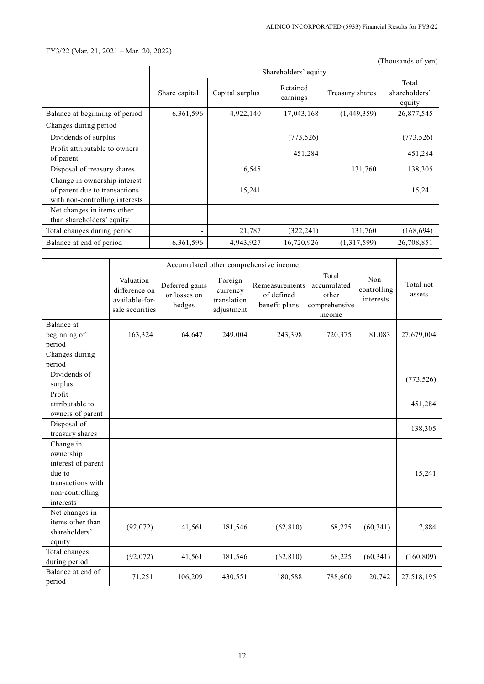### FY3/22 (Mar. 21, 2021 – Mar. 20, 2022)

(Thousands of yen)

|                                                                                                 | Shareholders' equity     |                 |                      |                 |                                  |  |  |
|-------------------------------------------------------------------------------------------------|--------------------------|-----------------|----------------------|-----------------|----------------------------------|--|--|
|                                                                                                 | Share capital            | Capital surplus | Retained<br>earnings | Treasury shares | Total<br>shareholders'<br>equity |  |  |
| Balance at beginning of period                                                                  | 6,361,596                | 4,922,140       | 17,043,168           | (1,449,359)     | 26,877,545                       |  |  |
| Changes during period                                                                           |                          |                 |                      |                 |                                  |  |  |
| Dividends of surplus                                                                            |                          |                 | (773, 526)           |                 | (773, 526)                       |  |  |
| Profit attributable to owners<br>of parent                                                      |                          |                 | 451,284              |                 | 451,284                          |  |  |
| Disposal of treasury shares                                                                     |                          | 6,545           |                      | 131,760         | 138,305                          |  |  |
| Change in ownership interest<br>of parent due to transactions<br>with non-controlling interests |                          | 15,241          |                      |                 | 15,241                           |  |  |
| Net changes in items other<br>than shareholders' equity                                         |                          |                 |                      |                 |                                  |  |  |
| Total changes during period                                                                     | $\overline{\phantom{a}}$ | 21,787          | (322, 241)           | 131,760         | (168, 694)                       |  |  |
| Balance at end of period                                                                        | 6,361,596                | 4,943,927       | 16,720,926           | (1,317,599)     | 26,708,851                       |  |  |

|                                                                                                             | Accumulated other comprehensive income                          |                                          |                                                  |                                               |                                                          |                                  |                     |
|-------------------------------------------------------------------------------------------------------------|-----------------------------------------------------------------|------------------------------------------|--------------------------------------------------|-----------------------------------------------|----------------------------------------------------------|----------------------------------|---------------------|
|                                                                                                             | Valuation<br>difference on<br>available-for-<br>sale securities | Deferred gains<br>or losses on<br>hedges | Foreign<br>currency<br>translation<br>adjustment | Remeasurements<br>of defined<br>benefit plans | Total<br>accumulated<br>other<br>comprehensive<br>income | Non-<br>controlling<br>interests | Total net<br>assets |
| Balance at                                                                                                  |                                                                 |                                          |                                                  |                                               |                                                          |                                  |                     |
| beginning of                                                                                                | 163,324                                                         | 64,647                                   | 249,004                                          | 243,398                                       | 720,375                                                  | 81,083                           | 27,679,004          |
| period                                                                                                      |                                                                 |                                          |                                                  |                                               |                                                          |                                  |                     |
| Changes during                                                                                              |                                                                 |                                          |                                                  |                                               |                                                          |                                  |                     |
| period                                                                                                      |                                                                 |                                          |                                                  |                                               |                                                          |                                  |                     |
| Dividends of                                                                                                |                                                                 |                                          |                                                  |                                               |                                                          |                                  | (773, 526)          |
| surplus                                                                                                     |                                                                 |                                          |                                                  |                                               |                                                          |                                  |                     |
| Profit                                                                                                      |                                                                 |                                          |                                                  |                                               |                                                          |                                  |                     |
| attributable to                                                                                             |                                                                 |                                          |                                                  |                                               |                                                          |                                  | 451,284             |
| owners of parent                                                                                            |                                                                 |                                          |                                                  |                                               |                                                          |                                  |                     |
| Disposal of                                                                                                 |                                                                 |                                          |                                                  |                                               |                                                          |                                  | 138,305             |
| treasury shares                                                                                             |                                                                 |                                          |                                                  |                                               |                                                          |                                  |                     |
| Change in<br>ownership<br>interest of parent<br>due to<br>transactions with<br>non-controlling<br>interests |                                                                 |                                          |                                                  |                                               |                                                          |                                  | 15,241              |
| Net changes in<br>items other than<br>shareholders'<br>equity                                               | (92,072)                                                        | 41,561                                   | 181,546                                          | (62, 810)                                     | 68,225                                                   | (60, 341)                        | 7,884               |
| Total changes<br>during period                                                                              | (92,072)                                                        | 41,561                                   | 181,546                                          | (62, 810)                                     | 68,225                                                   | (60, 341)                        | (160, 809)          |
| Balance at end of<br>period                                                                                 | 71,251                                                          | 106,209                                  | 430,551                                          | 180,588                                       | 788,600                                                  | 20,742                           | 27,518,195          |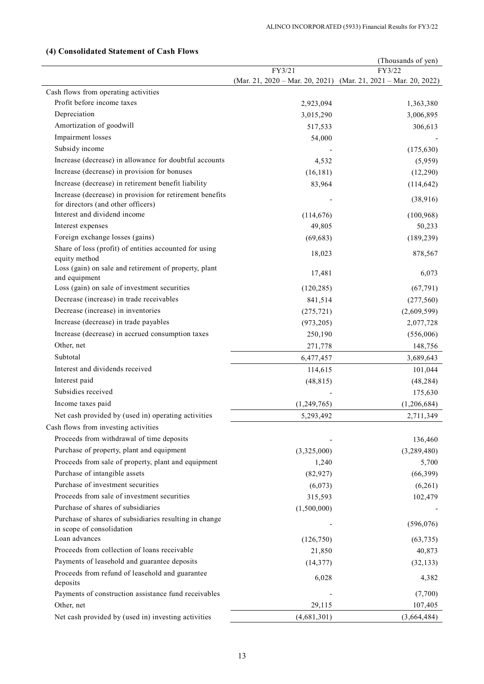|                                                                                     |             | (Thousands of yen)                                              |
|-------------------------------------------------------------------------------------|-------------|-----------------------------------------------------------------|
|                                                                                     | FY3/21      | FY3/22                                                          |
|                                                                                     |             | (Mar. 21, 2020 - Mar. 20, 2021) (Mar. 21, 2021 - Mar. 20, 2022) |
| Cash flows from operating activities                                                |             |                                                                 |
| Profit before income taxes                                                          | 2,923,094   | 1,363,380                                                       |
| Depreciation                                                                        | 3,015,290   | 3,006,895                                                       |
| Amortization of goodwill                                                            | 517,533     | 306,613                                                         |
| Impairment losses                                                                   | 54,000      |                                                                 |
| Subsidy income                                                                      |             | (175, 630)                                                      |
| Increase (decrease) in allowance for doubtful accounts                              | 4,532       | (5,959)                                                         |
| Increase (decrease) in provision for bonuses                                        | (16, 181)   | (12,290)                                                        |
| Increase (decrease) in retirement benefit liability                                 | 83,964      | (114, 642)                                                      |
| Increase (decrease) in provision for retirement benefits                            |             | (38,916)                                                        |
| for directors (and other officers)                                                  |             |                                                                 |
| Interest and dividend income                                                        | (114, 676)  | (100, 968)                                                      |
| Interest expenses                                                                   | 49,805      | 50,233                                                          |
| Foreign exchange losses (gains)                                                     | (69, 683)   | (189, 239)                                                      |
| Share of loss (profit) of entities accounted for using<br>equity method             | 18,023      | 878,567                                                         |
| Loss (gain) on sale and retirement of property, plant<br>and equipment              | 17,481      | 6,073                                                           |
| Loss (gain) on sale of investment securities                                        | (120, 285)  | (67, 791)                                                       |
| Decrease (increase) in trade receivables                                            | 841,514     | (277, 560)                                                      |
| Decrease (increase) in inventories                                                  | (275, 721)  | (2,609,599)                                                     |
| Increase (decrease) in trade payables                                               | (973, 205)  | 2,077,728                                                       |
| Increase (decrease) in accrued consumption taxes                                    | 250,190     | (556,006)                                                       |
| Other, net                                                                          | 271,778     | 148,756                                                         |
| Subtotal                                                                            | 6,477,457   | 3,689,643                                                       |
| Interest and dividends received                                                     | 114,615     | 101,044                                                         |
| Interest paid                                                                       | (48, 815)   | (48, 284)                                                       |
| Subsidies received                                                                  |             | 175,630                                                         |
| Income taxes paid                                                                   | (1,249,765) | (1,206,684)                                                     |
| Net cash provided by (used in) operating activities                                 |             |                                                                 |
|                                                                                     | 5,293,492   | 2,711,349                                                       |
| Cash flows from investing activities                                                |             |                                                                 |
| Proceeds from withdrawal of time deposits                                           |             | 136,460                                                         |
| Purchase of property, plant and equipment                                           | (3,325,000) | (3,289,480)                                                     |
| Proceeds from sale of property, plant and equipment                                 | 1,240       | 5,700                                                           |
| Purchase of intangible assets                                                       | (82, 927)   | (66, 399)                                                       |
| Purchase of investment securities                                                   | (6,073)     | (6,261)                                                         |
| Proceeds from sale of investment securities                                         | 315,593     | 102,479                                                         |
| Purchase of shares of subsidiaries                                                  | (1,500,000) |                                                                 |
| Purchase of shares of subsidiaries resulting in change<br>in scope of consolidation |             | (596, 076)                                                      |
| Loan advances                                                                       | (126,750)   | (63, 735)                                                       |
| Proceeds from collection of loans receivable                                        | 21,850      | 40,873                                                          |
| Payments of leasehold and guarantee deposits                                        | (14, 377)   | (32, 133)                                                       |
| Proceeds from refund of leasehold and guarantee                                     |             |                                                                 |
| deposits                                                                            | 6,028       | 4,382                                                           |
| Payments of construction assistance fund receivables                                |             | (7,700)                                                         |
| Other, net                                                                          | 29,115      | 107,405                                                         |
| Net cash provided by (used in) investing activities                                 | (4,681,301) | (3,664,484)                                                     |

## **(4) Consolidated Statement of Cash Flows**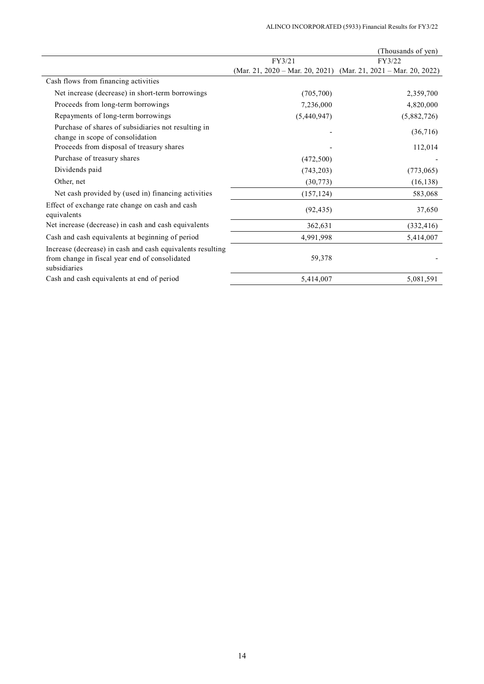|                                                                                                                              |             | (Thousands of yen)                                              |
|------------------------------------------------------------------------------------------------------------------------------|-------------|-----------------------------------------------------------------|
|                                                                                                                              | FY3/21      | FY3/22                                                          |
|                                                                                                                              |             | (Mar. 21, 2020 – Mar. 20, 2021) (Mar. 21, 2021 – Mar. 20, 2022) |
| Cash flows from financing activities                                                                                         |             |                                                                 |
| Net increase (decrease) in short-term borrowings                                                                             | (705,700)   | 2,359,700                                                       |
| Proceeds from long-term borrowings                                                                                           | 7,236,000   | 4,820,000                                                       |
| Repayments of long-term borrowings                                                                                           | (5,440,947) | (5,882,726)                                                     |
| Purchase of shares of subsidiaries not resulting in<br>change in scope of consolidation                                      |             | (36,716)                                                        |
| Proceeds from disposal of treasury shares                                                                                    |             | 112,014                                                         |
| Purchase of treasury shares                                                                                                  | (472,500)   |                                                                 |
| Dividends paid                                                                                                               | (743, 203)  | (773,065)                                                       |
| Other, net                                                                                                                   | (30,773)    | (16, 138)                                                       |
| Net cash provided by (used in) financing activities                                                                          | (157, 124)  | 583,068                                                         |
| Effect of exchange rate change on cash and cash<br>equivalents                                                               | (92, 435)   | 37,650                                                          |
| Net increase (decrease) in cash and cash equivalents                                                                         | 362,631     | (332, 416)                                                      |
| Cash and cash equivalents at beginning of period                                                                             | 4,991,998   | 5,414,007                                                       |
| Increase (decrease) in cash and cash equivalents resulting<br>from change in fiscal year end of consolidated<br>subsidiaries | 59,378      |                                                                 |
| Cash and cash equivalents at end of period                                                                                   | 5,414,007   | 5,081,591                                                       |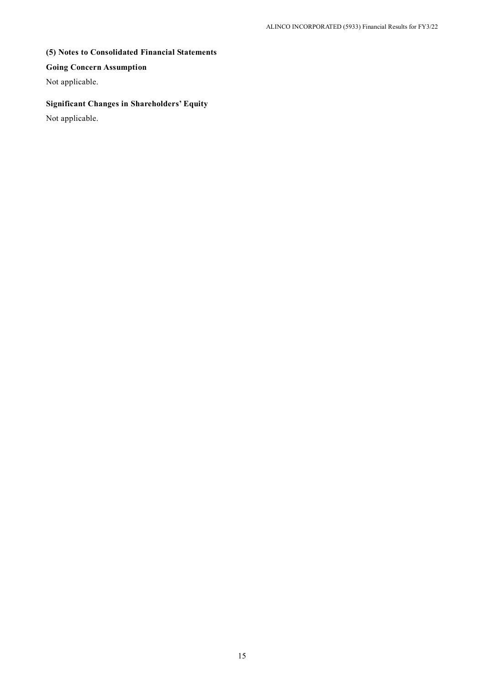## **(5) Notes to Consolidated Financial Statements**

## **Going Concern Assumption**

Not applicable.

# **Significant Changes in Shareholders' Equity**

Not applicable.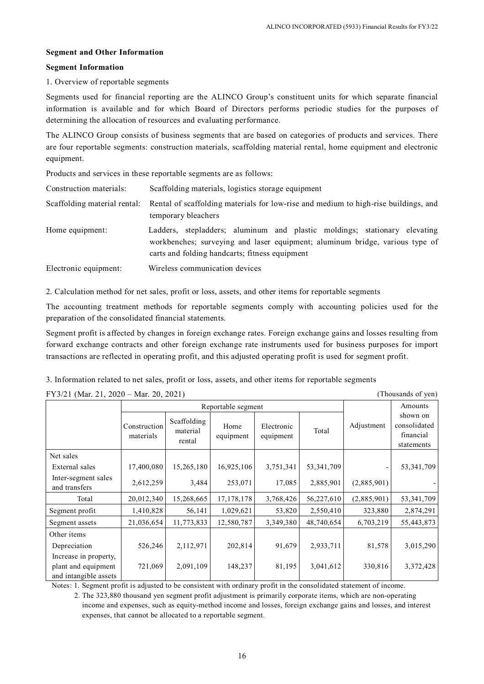### **Segment and Other Information**

#### **Segment Information**

### 1. Overview of reportable segments

Segments used for financial reporting are the ALINCO Group's constituent units for which separate financial information is available and for which Board of Directors performs periodic studies for the purposes of determining the allocation of resources and evaluating performance.

The ALINCO Group consists of business segments that are based on categories of products and services. There are four reportable segments: construction materials, scaffolding material rental, home equipment and electronic equipment.

Products and services in these reportable segments are as follows:

| Construction materials: | Scaffolding materials, logistics storage equipment                                                                                                                                                          |  |  |  |
|-------------------------|-------------------------------------------------------------------------------------------------------------------------------------------------------------------------------------------------------------|--|--|--|
|                         | Scaffolding material rental: Rental of scaffolding materials for low-rise and medium to high-rise buildings, and<br>temporary bleachers                                                                     |  |  |  |
| Home equipment:         | Ladders, stepladders; aluminum and plastic moldings; stationary elevating<br>workbenches; surveying and laser equipment; aluminum bridge, various type of<br>carts and folding handcarts; fitness equipment |  |  |  |
| Electronic equipment:   | Wireless communication devices                                                                                                                                                                              |  |  |  |

2. Calculation method for net sales, profit or loss, assets, and other items for reportable segments

The accounting treatment methods for reportable segments comply with accounting policies used for the preparation of the consolidated financial statements.

Segment profit is affected by changes in foreign exchange rates. Foreign exchange gains and losses resulting from forward exchange contracts and other foreign exchange rate instruments used for business purposes for import transactions are reflected in operating profit, and this adjusted operating profit is used for segment profit.

3. Information related to net sales, profit or loss, assets, and other items for reportable segments

 $\text{FY3/21 (Mar 21, 2020 - Mar 20, 2021)}$  (Thousands of yen)

| 1 1 $J/Z$ 1 (1914). $Z1$ , $Z0Z0$ – 1914). $Z0$ , $Z0Z1$<br>$\mu$ invadance of $\mu$ |                           |                                   |                   |                         |              |             |                                                     |
|--------------------------------------------------------------------------------------|---------------------------|-----------------------------------|-------------------|-------------------------|--------------|-------------|-----------------------------------------------------|
|                                                                                      | Reportable segment        |                                   |                   |                         |              | Amounts     |                                                     |
|                                                                                      | Construction<br>materials | Scaffolding<br>material<br>rental | Home<br>equipment | Electronic<br>equipment | Total        | Adjustment  | shown on<br>consolidated<br>financial<br>statements |
| Net sales                                                                            |                           |                                   |                   |                         |              |             |                                                     |
| External sales                                                                       | 17,400,080                | 15,265,180                        | 16,925,106        | 3,751,341               | 53, 341, 709 |             | 53, 341, 709                                        |
| Inter-segment sales<br>and transfers                                                 | 2,612,259                 | 3,484                             | 253,071           | 17,085                  | 2,885,901    | (2,885,901) |                                                     |
| Total                                                                                | 20,012,340                | 15,268,665                        | 17, 178, 178      | 3,768,426               | 56,227,610   | (2,885,901) | 53, 341, 709                                        |
| Segment profit                                                                       | 1,410,828                 | 56,141                            | 1,029,621         | 53,820                  | 2,550,410    | 323,880     | 2,874,291                                           |
| Segment assets                                                                       | 21,036,654                | 11,773,833                        | 12,580,787        | 3,349,380               | 48,740,654   | 6,703,219   | 55,443,873                                          |
| Other items                                                                          |                           |                                   |                   |                         |              |             |                                                     |
| Depreciation                                                                         | 526,246                   | 2,112,971                         | 202,814           | 91,679                  | 2,933,711    | 81,578      | 3,015,290                                           |
| Increase in property,<br>plant and equipment<br>and intangible assets                | 721,069                   | 2,091,109                         | 148,237           | 81,195                  | 3,041,612    | 330,816     | 3,372,428                                           |

Notes: 1. Segment profit is adjusted to be consistent with ordinary profit in the consolidated statement of income.

2. The 323,880 thousand yen segment profit adjustment is primarily corporate items, which are non-operating income and expenses, such as equity-method income and losses, foreign exchange gains and losses, and interest expenses, that cannot be allocated to a reportable segment.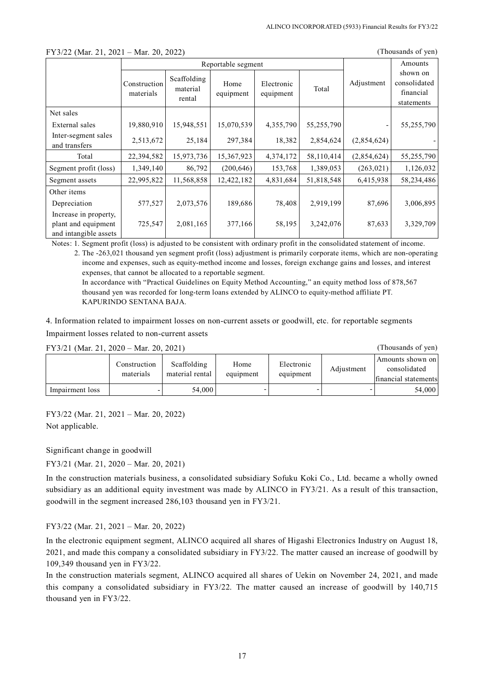|                                                                       |                           | Reportable segment                |                   |                         |            |             | Amounts                                             |
|-----------------------------------------------------------------------|---------------------------|-----------------------------------|-------------------|-------------------------|------------|-------------|-----------------------------------------------------|
|                                                                       | Construction<br>materials | Scaffolding<br>material<br>rental | Home<br>equipment | Electronic<br>equipment | Total      | Adjustment  | shown on<br>consolidated<br>financial<br>statements |
| Net sales                                                             |                           |                                   |                   |                         |            |             |                                                     |
| External sales                                                        | 19,880,910                | 15,948,551                        | 15,070,539        | 4,355,790               | 55,255,790 |             | 55,255,790                                          |
| Inter-segment sales<br>and transfers                                  | 2,513,672                 | 25,184                            | 297,384           | 18,382                  | 2,854,624  | (2,854,624) |                                                     |
| Total                                                                 | 22,394,582                | 15,973,736                        | 15,367,923        | 4,374,172               | 58,110,414 | (2,854,624) | 55,255,790                                          |
| Segment profit (loss)                                                 | 1,349,140                 | 86,792                            | (200, 646)        | 153,768                 | 1,389,053  | (263, 021)  | 1,126,032                                           |
| Segment assets                                                        | 22,995,822                | 11,568,858                        | 12,422,182        | 4,831,684               | 51,818,548 | 6,415,938   | 58,234,486                                          |
| Other items                                                           |                           |                                   |                   |                         |            |             |                                                     |
| Depreciation                                                          | 577,527                   | 2,073,576                         | 189,686           | 78,408                  | 2,919,199  | 87,696      | 3,006,895                                           |
| Increase in property,<br>plant and equipment<br>and intangible assets | 725,547                   | 2,081,165                         | 377,166           | 58,195                  | 3,242,076  | 87,633      | 3,329,709                                           |

### FY3/22 (Mar. 21, 2021 – Mar. 20, 2022) (Thousands of yen)

Notes: 1. Segment profit (loss) is adjusted to be consistent with ordinary profit in the consolidated statement of income.

2. The -263,021 thousand yen segment profit (loss) adjustment is primarily corporate items, which are non-operating income and expenses, such as equity-method income and losses, foreign exchange gains and losses, and interest expenses, that cannot be allocated to a reportable segment.

In accordance with "Practical Guidelines on Equity Method Accounting," an equity method loss of 878,567 thousand yen was recorded for long-term loans extended by ALINCO to equity-method affiliate PT. KAPURINDO SENTANA BAJA.

4. Information related to impairment losses on non-current assets or goodwill, etc. for reportable segments Impairment losses related to non-current assets

| FY3/21 (Mar. 21, 2020 – Mar. 20, 2021) | (Thousands of yen)        |                                |                   |                         |            |                                                          |
|----------------------------------------|---------------------------|--------------------------------|-------------------|-------------------------|------------|----------------------------------------------------------|
|                                        | Construction<br>materials | Scaffolding<br>material rental | Home<br>equipment | Electronic<br>equipment | Adjustment | Amounts shown on<br>consolidated<br>financial statements |
| Impairment loss                        |                           | 54,000                         |                   |                         |            | 54,000                                                   |

FY3/22 (Mar. 21, 2021 – Mar. 20, 2022) Not applicable.

Significant change in goodwill

FY3/21 (Mar. 21, 2020 – Mar. 20, 2021)

In the construction materials business, a consolidated subsidiary Sofuku Koki Co., Ltd. became a wholly owned subsidiary as an additional equity investment was made by ALINCO in FY3/21. As a result of this transaction, goodwill in the segment increased 286,103 thousand yen in FY3/21.

## FY3/22 (Mar. 21, 2021 – Mar. 20, 2022)

In the electronic equipment segment, ALINCO acquired all shares of Higashi Electronics Industry on August 18, 2021, and made this company a consolidated subsidiary in FY3/22. The matter caused an increase of goodwill by 109,349 thousand yen in FY3/22.

In the construction materials segment, ALINCO acquired all shares of Uekin on November 24, 2021, and made this company a consolidated subsidiary in FY3/22. The matter caused an increase of goodwill by 140,715 thousand yen in FY3/22.